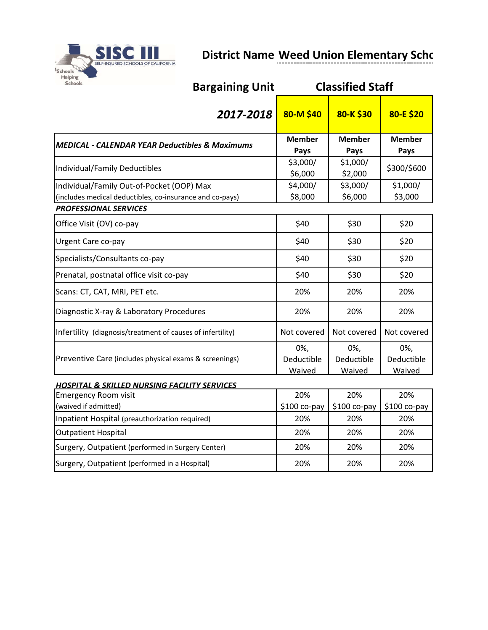

## **District Name Weed Union Elementary School District Name Weed Union Elementary School**

| <b>Schools</b><br><b>Bargaining Unit</b>                   |                     | <b>Classified Staff</b> |               |
|------------------------------------------------------------|---------------------|-------------------------|---------------|
| 2017-2018                                                  | 80-M\$40            | 80-K\$30                | 80-E \$20     |
| <b>MEDICAL - CALENDAR YEAR Deductibles &amp; Maximums</b>  | <b>Member</b>       | <b>Member</b>           | <b>Member</b> |
|                                                            | Pays                | Pays                    | Pays          |
| Individual/Family Deductibles                              | \$3,000/<br>\$6,000 | \$1,000/<br>\$2,000     | \$300/\$600   |
| Individual/Family Out-of-Pocket (OOP) Max                  | \$4,000/            | \$3,000/                | \$1,000/      |
| (includes medical deductibles, co-insurance and co-pays)   | \$8,000             | \$6,000                 | \$3,000       |
| <b>PROFESSIONAL SERVICES</b>                               |                     |                         |               |
| Office Visit (OV) co-pay                                   | \$40                | \$30                    | \$20          |
| Urgent Care co-pay                                         | \$40                | \$30                    | \$20          |
| Specialists/Consultants co-pay                             | \$40                | \$30                    | \$20          |
| Prenatal, postnatal office visit co-pay                    | \$40                | \$30                    | \$20          |
| Scans: CT, CAT, MRI, PET etc.                              | 20%                 | 20%                     | 20%           |
| Diagnostic X-ray & Laboratory Procedures                   | 20%                 | 20%                     | 20%           |
| Infertility (diagnosis/treatment of causes of infertility) | Not covered         | Not covered             | Not covered   |
|                                                            | 0%,                 | 0%,                     | 0%,           |
| Preventive Care (includes physical exams & screenings)     | Deductible          | Deductible              | Deductible    |
|                                                            | Waived              | Waived                  | Waived        |
| <b>HOSPITAL &amp; SKILLED NURSING FACILITY SERVICES</b>    |                     |                         |               |
| <b>Emergency Room visit</b>                                | 20%                 | 20%                     | 20%           |
| (waived if admitted)                                       | \$100 co-pay        | $$100 co$ -pay          | $$100 co-pay$ |
| Inpatient Hospital (preauthorization required)             | 20%                 | 20%                     | 20%           |
| <b>Outpatient Hospital</b>                                 | 20%                 | 20%                     | 20%           |
| Surgery, Outpatient (performed in Surgery Center)          | 20%                 | 20%                     | 20%           |
| Surgery, Outpatient (performed in a Hospital)              | 20%                 | 20%                     | 20%           |